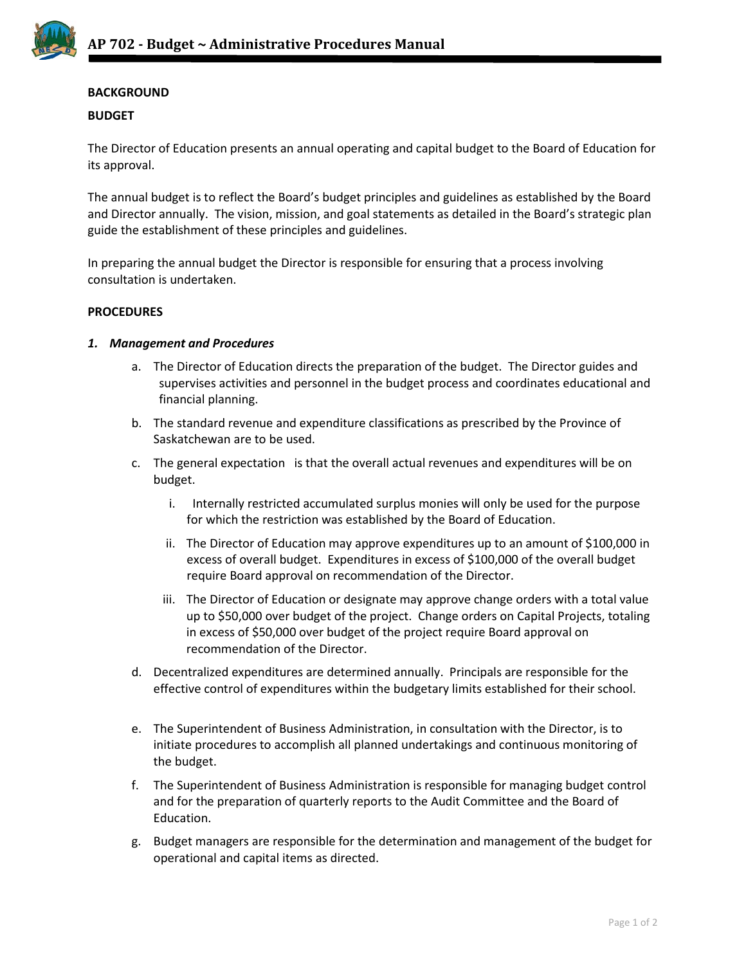

# **BACKGROUND**

### **BUDGET**

The Director of Education presents an annual operating and capital budget to the Board of Education for its approval.

The annual budget is to reflect the Board's budget principles and guidelines as established by the Board and Director annually. The vision, mission, and goal statements as detailed in the Board's strategic plan guide the establishment of these principles and guidelines.

In preparing the annual budget the Director is responsible for ensuring that a process involving consultation is undertaken.

#### **PROCEDURES**

#### *1. Management and Procedures*

- a. The Director of Education directs the preparation of the budget. The Director guides and supervises activities and personnel in the budget process and coordinates educational and financial planning.
- b. The standard revenue and expenditure classifications as prescribed by the Province of Saskatchewan are to be used.
- c. The general expectation is that the overall actual revenues and expenditures will be on budget.
	- i. Internally restricted accumulated surplus monies will only be used for the purpose for which the restriction was established by the Board of Education.
	- ii. The Director of Education may approve expenditures up to an amount of \$100,000 in excess of overall budget. Expenditures in excess of \$100,000 of the overall budget require Board approval on recommendation of the Director.
	- iii. The Director of Education or designate may approve change orders with a total value up to \$50,000 over budget of the project. Change orders on Capital Projects, totaling in excess of \$50,000 over budget of the project require Board approval on recommendation of the Director.
- d. Decentralized expenditures are determined annually. Principals are responsible for the effective control of expenditures within the budgetary limits established for their school.
- e. The Superintendent of Business Administration, in consultation with the Director, is to initiate procedures to accomplish all planned undertakings and continuous monitoring of the budget.
- f. The Superintendent of Business Administration is responsible for managing budget control and for the preparation of quarterly reports to the Audit Committee and the Board of Education.
- g. Budget managers are responsible for the determination and management of the budget for operational and capital items as directed.